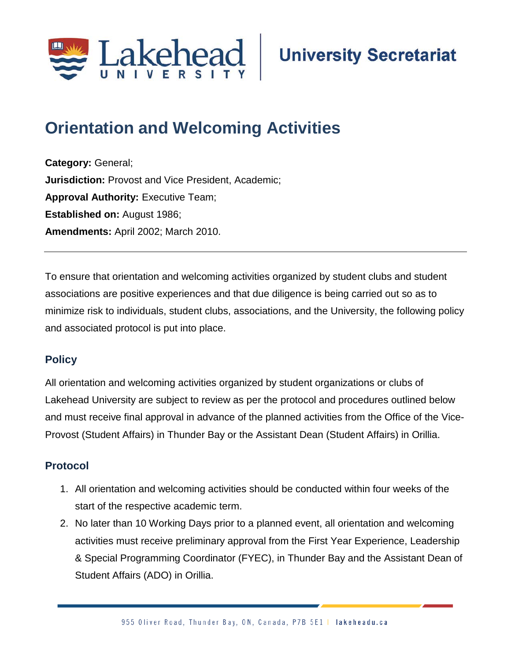

# **Orientation and Welcoming Activities**

**Category:** General; **Jurisdiction:** Provost and Vice President, Academic; **Approval Authority: Executive Team; Established on:** August 1986; **Amendments:** April 2002; March 2010.

To ensure that orientation and welcoming activities organized by student clubs and student associations are positive experiences and that due diligence is being carried out so as to minimize risk to individuals, student clubs, associations, and the University, the following policy and associated protocol is put into place.

### **Policy**

All orientation and welcoming activities organized by student organizations or clubs of Lakehead University are subject to review as per the protocol and procedures outlined below and must receive final approval in advance of the planned activities from the Office of the Vice-Provost (Student Affairs) in Thunder Bay or the Assistant Dean (Student Affairs) in Orillia.

#### **Protocol**

- 1. All orientation and welcoming activities should be conducted within four weeks of the start of the respective academic term.
- 2. No later than 10 Working Days prior to a planned event, all orientation and welcoming activities must receive preliminary approval from the First Year Experience, Leadership & Special Programming Coordinator (FYEC), in Thunder Bay and the Assistant Dean of Student Affairs (ADO) in Orillia.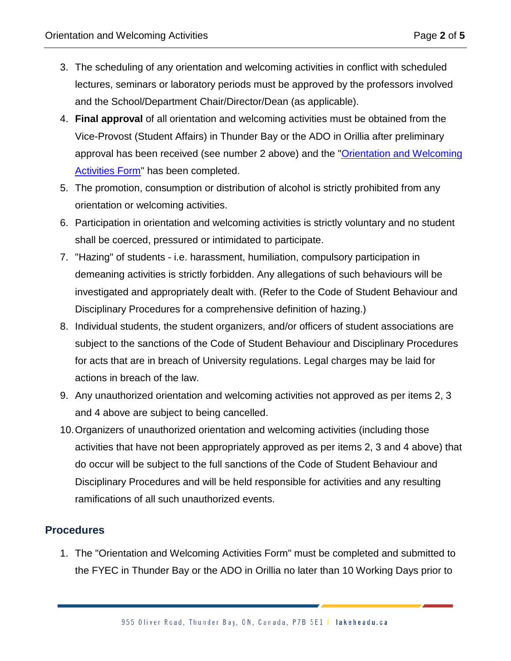- 3. The scheduling of any orientation and welcoming activities in conflict with scheduled lectures, seminars or laboratory periods must be approved by the professors involved and the School/Department Chair/Director/Dean (as applicable).
- 4. **Final approval** of all orientation and welcoming activities must be obtained from the Vice-Provost (Student Affairs) in Thunder Bay or the ADO in Orillia after preliminary approval has been received (see number 2 above) and the ["Orientation and Welcoming](https://www.lakeheadu.ca/faculty-and-staff/departments/services/student-affairs-tb)  [Activities Form"](https://www.lakeheadu.ca/faculty-and-staff/departments/services/student-affairs-tb) has been completed.
- 5. The promotion, consumption or distribution of alcohol is strictly prohibited from any orientation or welcoming activities.
- 6. Participation in orientation and welcoming activities is strictly voluntary and no student shall be coerced, pressured or intimidated to participate.
- 7. "Hazing" of students i.e. harassment, humiliation, compulsory participation in demeaning activities is strictly forbidden. Any allegations of such behaviours will be investigated and appropriately dealt with. (Refer to the Code of Student Behaviour and Disciplinary Procedures for a comprehensive definition of hazing.)
- 8. Individual students, the student organizers, and/or officers of student associations are subject to the sanctions of the Code of Student Behaviour and Disciplinary Procedures for acts that are in breach of University regulations. Legal charges may be laid for actions in breach of the law.
- 9. Any unauthorized orientation and welcoming activities not approved as per items 2, 3 and 4 above are subject to being cancelled.
- 10.Organizers of unauthorized orientation and welcoming activities (including those activities that have not been appropriately approved as per items 2, 3 and 4 above) that do occur will be subject to the full sanctions of the Code of Student Behaviour and Disciplinary Procedures and will be held responsible for activities and any resulting ramifications of all such unauthorized events.

#### **Procedures**

1. The "Orientation and Welcoming Activities Form" must be completed and submitted to the FYEC in Thunder Bay or the ADO in Orillia no later than 10 Working Days prior to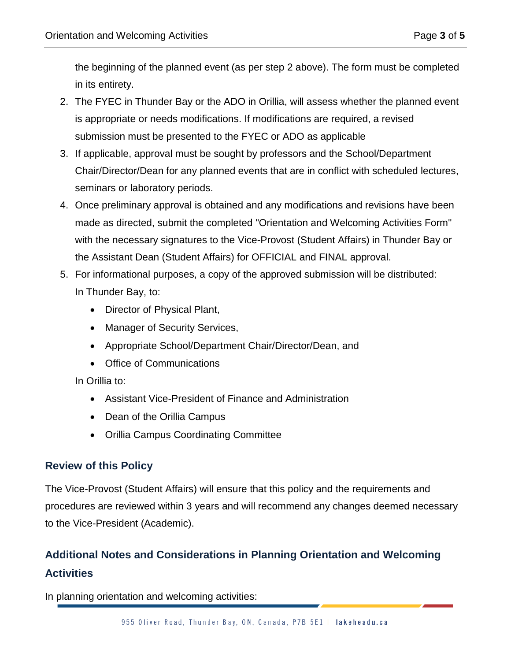the beginning of the planned event (as per step 2 above). The form must be completed in its entirety.

- 2. The FYEC in Thunder Bay or the ADO in Orillia, will assess whether the planned event is appropriate or needs modifications. If modifications are required, a revised submission must be presented to the FYEC or ADO as applicable
- 3. If applicable, approval must be sought by professors and the School/Department Chair/Director/Dean for any planned events that are in conflict with scheduled lectures, seminars or laboratory periods.
- 4. Once preliminary approval is obtained and any modifications and revisions have been made as directed, submit the completed "Orientation and Welcoming Activities Form" with the necessary signatures to the Vice-Provost (Student Affairs) in Thunder Bay or the Assistant Dean (Student Affairs) for OFFICIAL and FINAL approval.
- 5. For informational purposes, a copy of the approved submission will be distributed: In Thunder Bay, to:
	- Director of Physical Plant,
	- Manager of Security Services,
	- Appropriate School/Department Chair/Director/Dean, and
	- Office of Communications

In Orillia to:

- Assistant Vice-President of Finance and Administration
- Dean of the Orillia Campus
- Orillia Campus Coordinating Committee

#### **Review of this Policy**

The Vice-Provost (Student Affairs) will ensure that this policy and the requirements and procedures are reviewed within 3 years and will recommend any changes deemed necessary to the Vice-President (Academic).

## **Additional Notes and Considerations in Planning Orientation and Welcoming Activities**

In planning orientation and welcoming activities: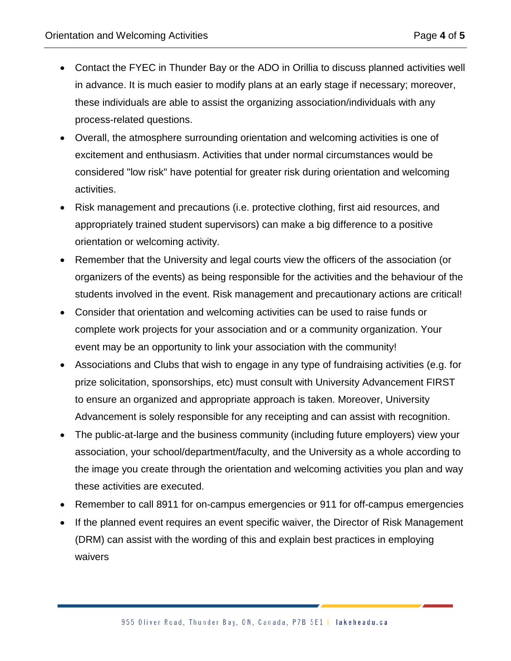- Contact the FYEC in Thunder Bay or the ADO in Orillia to discuss planned activities well in advance. It is much easier to modify plans at an early stage if necessary; moreover, these individuals are able to assist the organizing association/individuals with any process-related questions.
- Overall, the atmosphere surrounding orientation and welcoming activities is one of excitement and enthusiasm. Activities that under normal circumstances would be considered "low risk" have potential for greater risk during orientation and welcoming activities.
- Risk management and precautions (i.e. protective clothing, first aid resources, and appropriately trained student supervisors) can make a big difference to a positive orientation or welcoming activity.
- Remember that the University and legal courts view the officers of the association (or organizers of the events) as being responsible for the activities and the behaviour of the students involved in the event. Risk management and precautionary actions are critical!
- Consider that orientation and welcoming activities can be used to raise funds or complete work projects for your association and or a community organization. Your event may be an opportunity to link your association with the community!
- Associations and Clubs that wish to engage in any type of fundraising activities (e.g. for prize solicitation, sponsorships, etc) must consult with University Advancement FIRST to ensure an organized and appropriate approach is taken. Moreover, University Advancement is solely responsible for any receipting and can assist with recognition.
- The public-at-large and the business community (including future employers) view your association, your school/department/faculty, and the University as a whole according to the image you create through the orientation and welcoming activities you plan and way these activities are executed.
- Remember to call 8911 for on-campus emergencies or 911 for off-campus emergencies
- If the planned event requires an event specific waiver, the Director of Risk Management (DRM) can assist with the wording of this and explain best practices in employing waivers